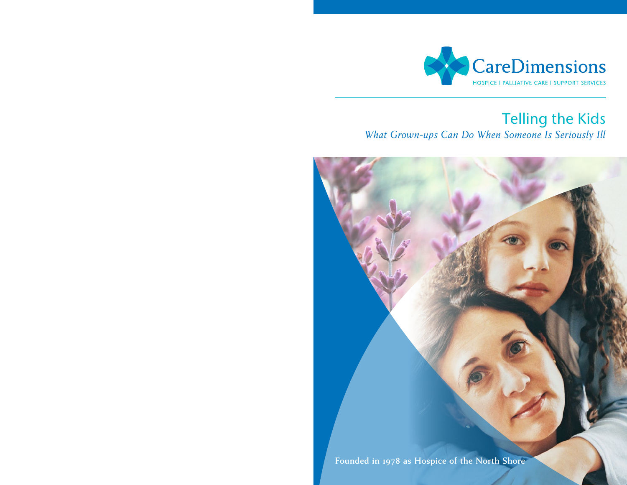

### Telling the Kids *What Grown-ups Can Do When Someone Is Seriously Ill*

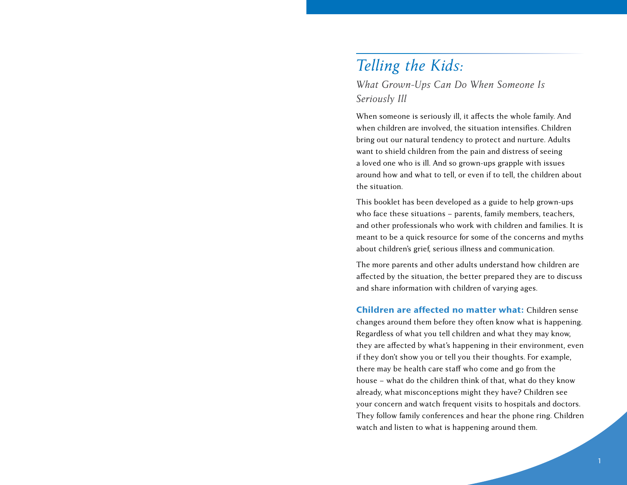## *Telling the Kids:*

### *What Grown-Ups Can Do When Someone Is Seriously Ill*

When someone is seriously ill, it affects the whole family. And when children are involved, the situation intensifies. Children bring out our natural tendency to protect and nurture. Adults want to shield children from the pain and distress of seeing a loved one who is ill. And so grown-ups grapple with issues around how and what to tell, or even if to tell, the children about the situation.

This booklet has been developed as a guide to help grown-ups who face these situations – parents, family members, teachers, and other professionals who work with children and families. It is meant to be a quick resource for some of the concerns and myths about children's grief, serious illness and communication.

The more parents and other adults understand how children are affected by the situation, the better prepared they are to discuss and share information with children of varying ages.

Children are affected no matter what: Children sense changes around them before they often know what is happening. Regardless of what you tell children and what they may know, they are affected by what's happening in their environment, even if they don't show you or tell you their thoughts. For example, there may be health care staff who come and go from the house – what do the children think of that, what do they know already, what misconceptions might they have? Children see your concern and watch frequent visits to hospitals and doctors. They follow family conferences and hear the phone ring. Children watch and listen to what is happening around them.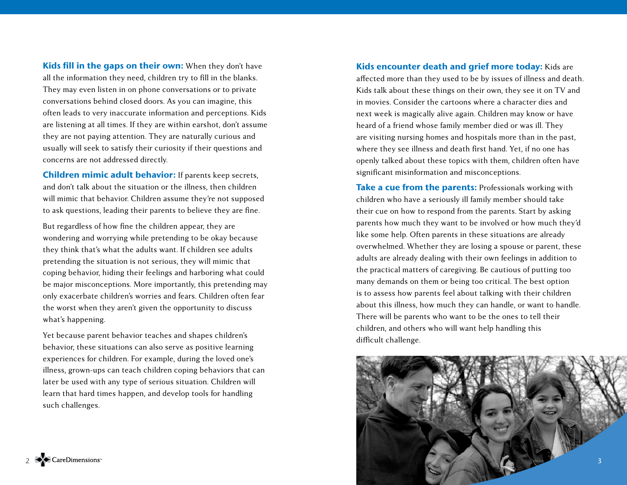Kids fill in the gaps on their own: When they don't have all the information they need, children try to fill in the blanks. They may even listen in on phone conversations or to private conversations behind closed doors. As you can imagine, this often leads to very inaccurate information and perceptions. Kids are listening at all times. If they are within earshot, don't assume they are not paying attention. They are naturally curious and usually will seek to satisfy their curiosity if their questions and concerns are not addressed directly.

Children mimic adult behavior: If parents keep secrets, and don't talk about the situation or the illness, then children will mimic that behavior. Children assume they're not supposed to ask questions, leading their parents to believe they are fine.

But regardless of how fine the children appear, they are wondering and worrying while pretending to be okay because they think that's what the adults want. If children see adults pretending the situation is not serious, they will mimic that coping behavior, hiding their feelings and harboring what could be major misconceptions. More importantly, this pretending may only exacerbate children's worries and fears. Children often fear the worst when they aren't given the opportunity to discuss what's happening.

Yet because parent behavior teaches and shapes children's behavior, these situations can also serve as positive learning experiences for children. For example, during the loved one's illness, grown-ups can teach children coping behaviors that can later be used with any type of serious situation. Children will learn that hard times happen, and develop tools for handling such challenges.

Kids encounter death and grief more today: Kids are affected more than they used to be by issues of illness and death. Kids talk about these things on their own, they see it on TV and in movies. Consider the cartoons where a character dies and next week is magically alive again. Children may know or have heard of a friend whose family member died or was ill. They are visiting nursing homes and hospitals more than in the past, where they see illness and death first hand. Yet, if no one has openly talked about these topics with them, children often have significant misinformation and misconceptions.

Take a cue from the parents: Professionals working with children who have a seriously ill family member should take their cue on how to respond from the parents. Start by asking parents how much they want to be involved or how much they'd like some help. Often parents in these situations are already overwhelmed. Whether they are losing a spouse or parent, these adults are already dealing with their own feelings in addition to the practical matters of caregiving. Be cautious of putting too many demands on them or being too critical. The best option is to assess how parents feel about talking with their children about this illness, how much they can handle, or want to handle. There will be parents who want to be the ones to tell their children, and others who will want help handling this difficult challenge.

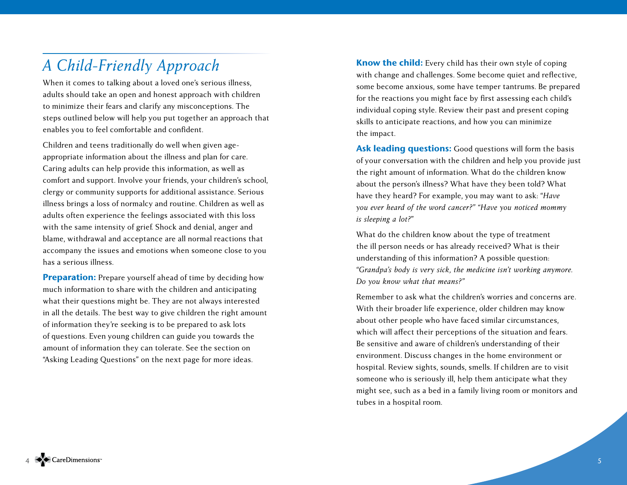# *A Child-Friendly Approach*

When it comes to talking about a loved one's serious illness, adults should take an open and honest approach with children to minimize their fears and clarify any misconceptions. The steps outlined below will help you put together an approach that enables you to feel comfortable and confident.

Children and teens traditionally do well when given ageappropriate information about the illness and plan for care. Caring adults can help provide this information, as well as comfort and support. Involve your friends, your children's school, clergy or community supports for additional assistance. Serious illness brings a loss of normalcy and routine. Children as well as adults often experience the feelings associated with this loss with the same intensity of grief. Shock and denial, anger and blame, withdrawal and acceptance are all normal reactions that accompany the issues and emotions when someone close to you has a serious illness.

**Preparation:** Prepare yourself ahead of time by deciding how much information to share with the children and anticipating what their questions might be. They are not always interested in all the details. The best way to give children the right amount of information they're seeking is to be prepared to ask lots of questions. Even young children can guide you towards the amount of information they can tolerate. See the section on "Asking Leading Questions" on the next page for more ideas.

Know the child: Every child has their own style of coping with change and challenges. Some become quiet and reflective, some become anxious, some have temper tantrums. Be prepared for the reactions you might face by first assessing each child's individual coping style. Review their past and present coping skills to anticipate reactions, and how you can minimize the impact.

Ask leading questions: Good questions will form the basis of your conversation with the children and help you provide just the right amount of information. What do the children know about the person's illness? What have they been told? What have they heard? For example, you may want to ask: "*Have you ever heard of the word cancer?" "Have you noticed mommy is sleeping a lot?*"

What do the children know about the type of treatment the ill person needs or has already received? What is their understanding of this information? A possible question: *"Grandpa's body is very sick, the medicine isn't working anymore. Do you know what that means?"*

Remember to ask what the children's worries and concerns are. With their broader life experience, older children may know about other people who have faced similar circumstances, which will affect their perceptions of the situation and fears. Be sensitive and aware of children's understanding of their environment. Discuss changes in the home environment or hospital. Review sights, sounds, smells. If children are to visit someone who is seriously ill, help them anticipate what they might see, such as a bed in a family living room or monitors and tubes in a hospital room.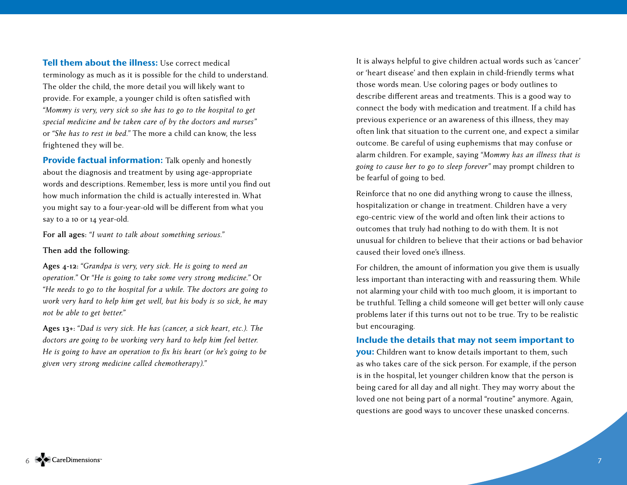Tell them about the illness: Use correct medical terminology as much as it is possible for the child to understand. The older the child, the more detail you will likely want to provide. For example, a younger child is often satisfied with *"Mommy is very, very sick so she has to go to the hospital to get special medicine and be taken care of by the doctors and nurses"* or *"She has to rest in bed."* The more a child can know, the less frightened they will be.

Provide factual information: Talk openly and honestly about the diagnosis and treatment by using age-appropriate words and descriptions. Remember, less is more until you find out how much information the child is actually interested in. What you might say to a four-year-old will be different from what you say to a 10 or 14 year-old.

**For all ages:** *"I want to talk about something serious."*

#### **Then add the following:**

**Ages 4-12:** *"Grandpa is very, very sick. He is going to need an operation."* Or *"He is going to take some very strong medicine."* Or *"He needs to go to the hospital for a while. The doctors are going to work very hard to help him get well, but his body is so sick, he may not be able to get better."*

**Ages 13+:** *"Dad is very sick. He has (cancer, a sick heart, etc.). The doctors are going to be working very hard to help him feel better. He is going to have an operation to fix his heart (or he's going to be given very strong medicine called chemotherapy)."*

It is always helpful to give children actual words such as 'cancer' or 'heart disease' and then explain in child-friendly terms what those words mean. Use coloring pages or body outlines to describe different areas and treatments. This is a good way to connect the body with medication and treatment. If a child has previous experience or an awareness of this illness, they may often link that situation to the current one, and expect a similar outcome. Be careful of using euphemisms that may confuse or alarm children. For example, saying *"Mommy has an illness that is going to cause her to go to sleep forever"* may prompt children to be fearful of going to bed.

Reinforce that no one did anything wrong to cause the illness, hospitalization or change in treatment. Children have a very ego-centric view of the world and often link their actions to outcomes that truly had nothing to do with them. It is not unusual for children to believe that their actions or bad behavior caused their loved one's illness.

For children, the amount of information you give them is usually less important than interacting with and reassuring them. While not alarming your child with too much gloom, it is important to be truthful. Telling a child someone will get better will only cause problems later if this turns out not to be true. Try to be realistic but encouraging.

Include the details that may not seem important to you: Children want to know details important to them, such as who takes care of the sick person. For example, if the person is in the hospital, let younger children know that the person is being cared for all day and all night. They may worry about the loved one not being part of a normal "routine" anymore. Again, questions are good ways to uncover these unasked concerns.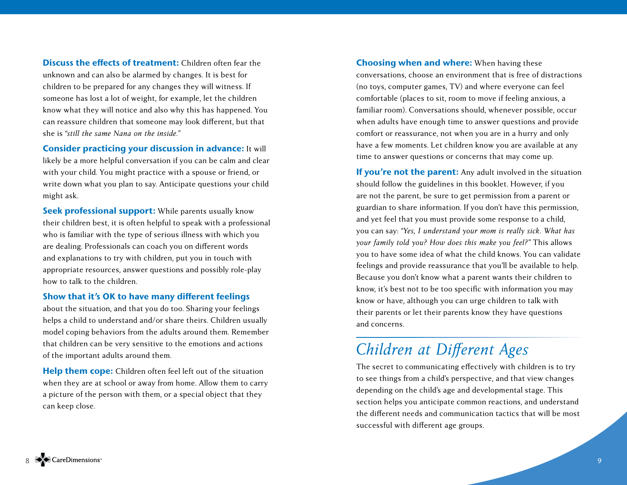Discuss the effects of treatment: Children often fear the unknown and can also be alarmed by changes. It is best for children to be prepared for any changes they will witness. If someone has lost a lot of weight, for example, let the children know what they will notice and also why this has happened. You can reassure children that someone may look different, but that she is *"still the same Nana on the inside."*

#### Consider practicing your discussion in advance: It will

likely be a more helpful conversation if you can be calm and clear with your child. You might practice with a spouse or friend, or write down what you plan to say. Anticipate questions your child might ask.

Seek professional support: While parents usually know their children best, it is often helpful to speak with a professional who is familiar with the type of serious illness with which you are dealing. Professionals can coach you on different words and explanations to try with children, put you in touch with appropriate resources, answer questions and possibly role-play how to talk to the children.

#### Show that it's OK to have many different feelings

about the situation, and that you do too. Sharing your feelings helps a child to understand and/or share theirs. Children usually model coping behaviors from the adults around them. Remember that children can be very sensitive to the emotions and actions of the important adults around them.

Help them cope: Children often feel left out of the situation when they are at school or away from home. Allow them to carry a picture of the person with them, or a special object that they can keep close.

Choosing when and where: When having these conversations, choose an environment that is free of distractions (no toys, computer games, TV) and where everyone can feel comfortable (places to sit, room to move if feeling anxious, a familiar room). Conversations should, whenever possible, occur when adults have enough time to answer questions and provide comfort or reassurance, not when you are in a hurry and only have a few moments. Let children know you are available at any time to answer questions or concerns that may come up.

If you're not the parent: Any adult involved in the situation should follow the guidelines in this booklet. However, if you are not the parent, be sure to get permission from a parent or guardian to share information. If you don't have this permission, and yet feel that you must provide some response to a child, you can say: *"Yes, I understand your mom is really sick. What has your family told you? How does this make you feel?"* This allows you to have some idea of what the child knows. You can validate feelings and provide reassurance that you'll be available to help. Because you don't know what a parent wants their children to know, it's best not to be too specific with information you may know or have, although you can urge children to talk with their parents or let their parents know they have questions and concerns.

# *Children at Different Ages*

The secret to communicating effectively with children is to try to see things from a child's perspective, and that view changes depending on the child's age and developmental stage. This section helps you anticipate common reactions, and understand the different needs and communication tactics that will be most successful with different age groups.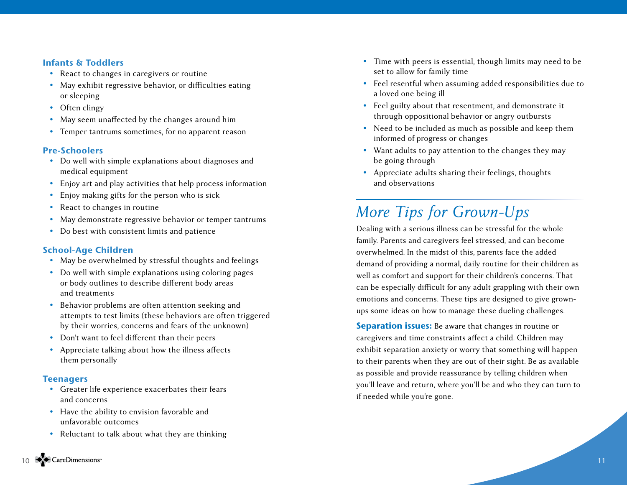#### Infants & Toddlers

- React to changes in caregivers or routine
- May exhibit regressive behavior, or difficulties eating or sleeping
- Often clingy
- May seem unaffected by the changes around him
- Temper tantrums sometimes, for no apparent reason

#### Pre-Schoolers

- Do well with simple explanations about diagnoses and medical equipment
- Enjoy art and play activities that help process information
- Enjoy making gifts for the person who is sick
- React to changes in routine
- May demonstrate regressive behavior or temper tantrums
- Do best with consistent limits and patience

#### School-Age Children

- May be overwhelmed by stressful thoughts and feelings
- Do well with simple explanations using coloring pages or body outlines to describe different body areas and treatments
- Behavior problems are often attention seeking and attempts to test limits (these behaviors are often triggered by their worries, concerns and fears of the unknown)
- Don't want to feel different than their peers
- Appreciate talking about how the illness affects them personally

#### **Teenagers**

- Greater life experience exacerbates their fears and concerns
- Have the ability to envision favorable and unfavorable outcomes
- Reluctant to talk about what they are thinking
- Time with peers is essential, though limits may need to be set to allow for family time
- Feel resentful when assuming added responsibilities due to a loved one being ill
- Feel guilty about that resentment, and demonstrate it through oppositional behavior or angry outbursts
- Need to be included as much as possible and keep them informed of progress or changes
- Want adults to pay attention to the changes they may be going through
- Appreciate adults sharing their feelings, thoughts and observations

# *More Tips for Grown-Ups*

Dealing with a serious illness can be stressful for the whole family. Parents and caregivers feel stressed, and can become overwhelmed. In the midst of this, parents face the added demand of providing a normal, daily routine for their children as well as comfort and support for their children's concerns. That can be especially difficult for any adult grappling with their own emotions and concerns. These tips are designed to give grownups some ideas on how to manage these dueling challenges.

**Separation issues:** Be aware that changes in routine or caregivers and time constraints affect a child. Children may exhibit separation anxiety or worry that something will happen to their parents when they are out of their sight. Be as available as possible and provide reassurance by telling children when you'll leave and return, where you'll be and who they can turn to if needed while you're gone.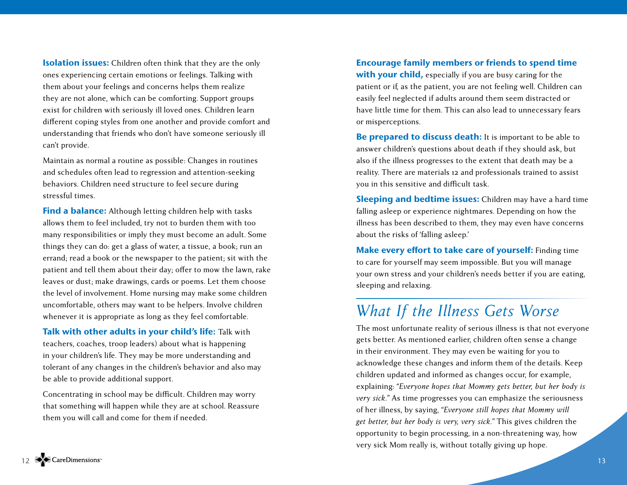**Isolation issues:** Children often think that they are the only ones experiencing certain emotions or feelings. Talking with them about your feelings and concerns helps them realize they are not alone, which can be comforting. Support groups exist for children with seriously ill loved ones. Children learn different coping styles from one another and provide comfort and understanding that friends who don't have someone seriously ill can't provide.

Maintain as normal a routine as possible: Changes in routines and schedules often lead to regression and attention-seeking behaviors. Children need structure to feel secure during stressful times.

Find a balance: Although letting children help with tasks allows them to feel included, try not to burden them with too many responsibilities or imply they must become an adult. Some things they can do: get a glass of water, a tissue, a book; run an errand; read a book or the newspaper to the patient; sit with the patient and tell them about their day; offer to mow the lawn, rake leaves or dust; make drawings, cards or poems. Let them choose the level of involvement. Home nursing may make some children uncomfortable, others may want to be helpers. Involve children whenever it is appropriate as long as they feel comfortable.

Talk with other adults in your child's life: Talk with teachers, coaches, troop leaders) about what is happening in your children's life. They may be more understanding and tolerant of any changes in the children's behavior and also may be able to provide additional support.

Concentrating in school may be difficult. Children may worry that something will happen while they are at school. Reassure them you will call and come for them if needed.

### Encourage family members or friends to spend time

with your child, especially if you are busy caring for the patient or if, as the patient, you are not feeling well. Children can easily feel neglected if adults around them seem distracted or have little time for them. This can also lead to unnecessary fears or misperceptions.

Be prepared to discuss death: It is important to be able to answer children's questions about death if they should ask, but also if the illness progresses to the extent that death may be a reality. There are materials 12 and professionals trained to assist you in this sensitive and difficult task.

Sleeping and bedtime issues: Children may have a hard time falling asleep or experience nightmares. Depending on how the illness has been described to them, they may even have concerns about the risks of 'falling asleep.'

Make every effort to take care of yourself: Finding time to care for yourself may seem impossible. But you will manage your own stress and your children's needs better if you are eating, sleeping and relaxing.

### *What If the Illness Gets Worse*

The most unfortunate reality of serious illness is that not everyone gets better. As mentioned earlier, children often sense a change in their environment. They may even be waiting for you to acknowledge these changes and inform them of the details. Keep children updated and informed as changes occur, for example, explaining: *"Everyone hopes that Mommy gets better, but her body is very sick."* As time progresses you can emphasize the seriousness of her illness, by saying, *"Everyone still hopes that Mommy will get better, but her body is very, very sick."* This gives children the opportunity to begin processing, in a non-threatening way, how very sick Mom really is, without totally giving up hope.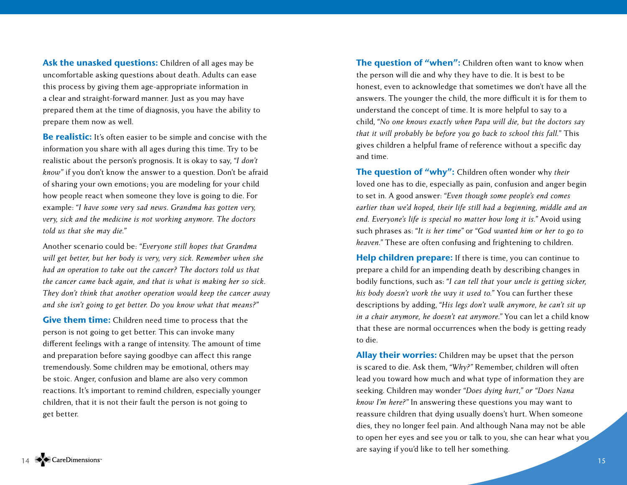Ask the unasked questions: Children of all ages may be uncomfortable asking questions about death. Adults can ease this process by giving them age-appropriate information in a clear and straight-forward manner. Just as you may have prepared them at the time of diagnosis, you have the ability to prepare them now as well.

**Be realistic:** It's often easier to be simple and concise with the information you share with all ages during this time. Try to be realistic about the person's prognosis. It is okay to say, *"I don't know"* if you don't know the answer to a question. Don't be afraid of sharing your own emotions; you are modeling for your child how people react when someone they love is going to die. For example: *"I have some very sad news. Grandma has gotten very, very, sick and the medicine is not working anymore. The doctors told us that she may die."* 

Another scenario could be: *"Everyone still hopes that Grandma will get better, but her body is very, very sick. Remember when she had an operation to take out the cancer? The doctors told us that the cancer came back again, and that is what is making her so sick. They don't think that another operation would keep the cancer away and she isn't going to get better. Do you know what that means?"* 

Give them time: Children need time to process that the person is not going to get better. This can invoke many different feelings with a range of intensity. The amount of time and preparation before saying goodbye can affect this range tremendously. Some children may be emotional, others may be stoic. Anger, confusion and blame are also very common reactions. It's important to remind children, especially younger children, that it is not their fault the person is not going to get better.

The question of "when": Children often want to know when the person will die and why they have to die. It is best to be honest, even to acknowledge that sometimes we don't have all the answers. The younger the child, the more difficult it is for them to understand the concept of time. It is more helpful to say to a child, *"No one knows exactly when Papa will die, but the doctors say that it will probably be before you go back to school this fall."* This gives children a helpful frame of reference without a specific day and time.

The question of "why": Children often wonder why *their* loved one has to die, especially as pain, confusion and anger begin to set in. A good answer: *"Even though some people's end comes earlier than we'd hoped, their life still had a beginning, middle and an end. Everyone's life is special no matter how long it is."* Avoid using such phrases as: *"It is her time"* or *"God wanted him or her to go to heaven."* These are often confusing and frightening to children.

Help children prepare: If there is time, you can continue to prepare a child for an impending death by describing changes in bodily functions, such as: *"I can tell that your uncle is getting sicker, his body doesn't work the way it used to."* You can further these descriptions by adding, *"His legs don't walk anymore, he can't sit up in a chair anymore, he doesn't eat anymore."* You can let a child know that these are normal occurrences when the body is getting ready to die.

Allay their worries: Children may be upset that the person is scared to die. Ask them, *"Why?"* Remember, children will often lead you toward how much and what type of information they are seeking. Children may wonder *"Does dying hurt," or "Does Nana know I'm here?"* In answering these questions you may want to reassure children that dying usually doens't hurt. When someone dies, they no longer feel pain. And although Nana may not be able to open her eyes and see you or talk to you, she can hear what you are saying if you'd like to tell her something.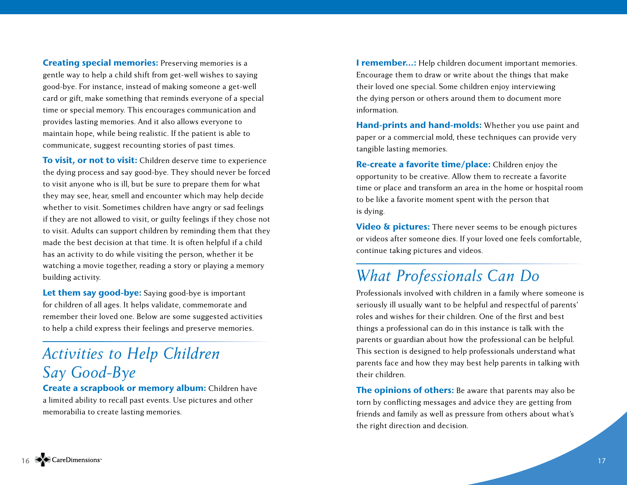Creating special memories: Preserving memories is a gentle way to help a child shift from get-well wishes to saying good-bye. For instance, instead of making someone a get-well card or gift, make something that reminds everyone of a special time or special memory. This encourages communication and provides lasting memories. And it also allows everyone to maintain hope, while being realistic. If the patient is able to communicate, suggest recounting stories of past times.

To visit, or not to visit: Children deserve time to experience the dying process and say good-bye. They should never be forced to visit anyone who is ill, but be sure to prepare them for what they may see, hear, smell and encounter which may help decide whether to visit. Sometimes children have angry or sad feelings if they are not allowed to visit, or guilty feelings if they chose not to visit. Adults can support children by reminding them that they made the best decision at that time. It is often helpful if a child has an activity to do while visiting the person, whether it be watching a movie together, reading a story or playing a memory building activity.

Let them say good-bye: Saying good-bye is important for children of all ages. It helps validate, commemorate and remember their loved one. Below are some suggested activities to help a child express their feelings and preserve memories.

# *Activities to Help Children Say Good-Bye*

Create a scrapbook or memory album: Children have a limited ability to recall past events. Use pictures and other memorabilia to create lasting memories.

I remember...: Help children document important memories. Encourage them to draw or write about the things that make their loved one special. Some children enjoy interviewing the dying person or others around them to document more information.

Hand-prints and hand-molds: Whether you use paint and paper or a commercial mold, these techniques can provide very tangible lasting memories.

Re-create a favorite time/place: Children enjoy the opportunity to be creative. Allow them to recreate a favorite time or place and transform an area in the home or hospital room to be like a favorite moment spent with the person that is dying.

**Video & pictures:** There never seems to be enough pictures or videos after someone dies. If your loved one feels comfortable, continue taking pictures and videos.

## *What Professionals Can Do*

Professionals involved with children in a family where someone is seriously ill usually want to be helpful and respectful of parents' roles and wishes for their children. One of the first and best things a professional can do in this instance is talk with the parents or guardian about how the professional can be helpful. This section is designed to help professionals understand what parents face and how they may best help parents in talking with their children.

The opinions of others: Be aware that parents may also be torn by conflicting messages and advice they are getting from friends and family as well as pressure from others about what's the right direction and decision.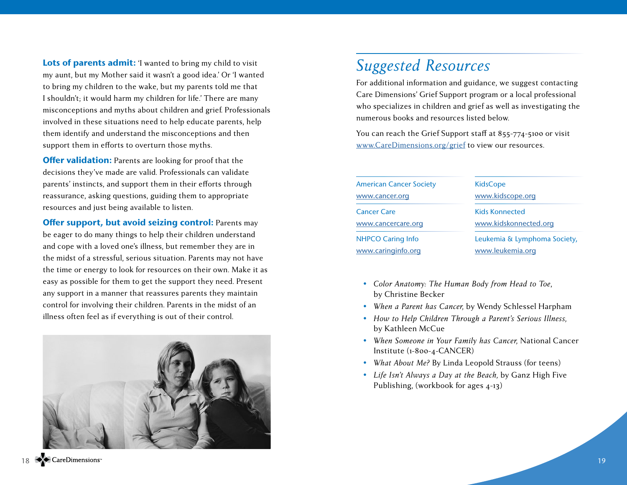Lots of parents admit: 'I wanted to bring my child to visit my aunt, but my Mother said it wasn't a good idea.' Or 'I wanted to bring my children to the wake, but my parents told me that I shouldn't; it would harm my children for life.' There are many misconceptions and myths about children and grief. Professionals involved in these situations need to help educate parents, help them identify and understand the misconceptions and then support them in efforts to overturn those myths.

**Offer validation:** Parents are looking for proof that the decisions they've made are valid. Professionals can validate parents' instincts, and support them in their efforts through reassurance, asking questions, guiding them to appropriate resources and just being available to listen.

Offer support, but avoid seizing control: Parents may be eager to do many things to help their children understand and cope with a loved one's illness, but remember they are in the midst of a stressful, serious situation. Parents may not have the time or energy to look for resources on their own. Make it as easy as possible for them to get the support they need. Present any support in a manner that reassures parents they maintain control for involving their children. Parents in the midst of an illness often feel as if everything is out of their control.



## *Suggested Resources*

For additional information and guidance, we suggest contacting Care Dimensions' Grief Support program or a local professional who specializes in children and grief as well as investigating the numerous books and resources listed below.

You can reach the Grief Support staff at 855-774-5100 or visit [www.CareDimensions.org/grief](http://www.CareDimensions.org/grief) to view our resources.

| <b>American Cancer Society</b> | <b>KidsCope</b>              |
|--------------------------------|------------------------------|
| www.cancer.org                 | www.kidscope.org             |
| <b>Cancer Care</b>             | <b>Kids Konnected</b>        |
| www.cancercare.org             | www.kidskonnected.org        |
| <b>NHPCO Caring Info</b>       | Leukemia & Lymphoma Society, |
| www.caringinfo.org             | www.leukemia.org             |
|                                |                              |

- *Color Anatomy: The Human Body from Head to Toe*, by Christine Becker
- *When a Parent has Cancer,* by Wendy Schlessel Harpham
- *How to Help Children Through a Parent's Serious Illness,* by Kathleen McCue
- *When Someone in Your Family has Cancer,* National Cancer Institute (1-800-4-CANCER)
- *What About Me?* By Linda Leopold Strauss (for teens)
- *Life Isn't Always a Day at the Beach,* by Ganz High Five Publishing, (workbook for ages 4-13)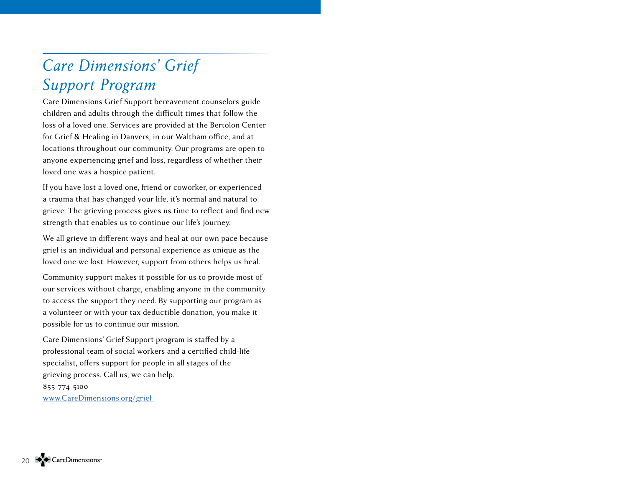# *Care Dimensions' Grief Support Program*

Care Dimensions Grief Support bereavement counselors guide children and adults through the difficult times that follow the loss of a loved one. Services are provided at the Bertolon Center for Grief & Healing in Danvers, in our Waltham office, and at locations throughout our community. Our programs are open to anyone experiencing grief and loss, regardless of whether their loved one was a hospice patient.

If you have lost a loved one, friend or coworker, or experienced a trauma that has changed your life, it's normal and natural to grieve. The grieving process gives us time to reflect and find new strength that enables us to continue our life's journey.

We all grieve in different ways and heal at our own pace because grief is an individual and personal experience as unique as the loved one we lost. However, support from others helps us heal.

Community support makes it possible for us to provide most of our services without charge, enabling anyone in the community to access the support they need. By supporting our program as a volunteer or with your tax deductible donation, you make it possible for us to continue our mission.

Care Dimensions' Grief Support program is staffed by a professional team of social workers and a certified child-life specialist, offers support for people in all stages of the grieving process. Call us, we can help. 855-774-5100 [www.CareDimensions.org/grief](http://www.CareDimensions.org/grief )